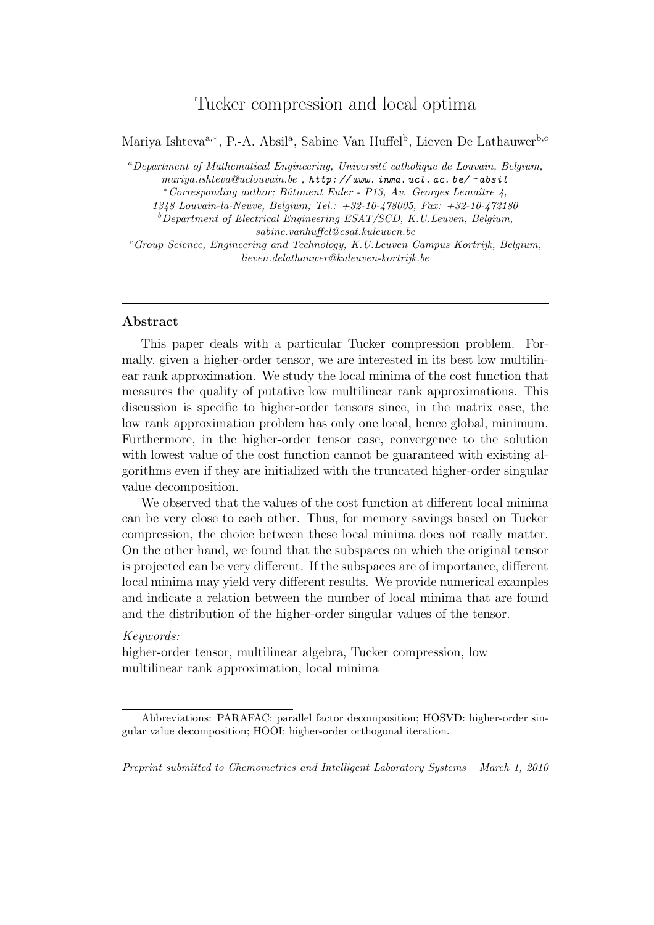# Tucker compression and local optima

Mariya Ishteva<sup>a,\*</sup>, P.-A. Absil<sup>a</sup>, Sabine Van Huffel<sup>b</sup>, Lieven De Lathauwer<sup>b,c</sup>

 $a$ Department of Mathematical Engineering, Université catholique de Louvain, Belgium, mariya.ishteva@uclouvain.be, http://www.inma.ucl.ac.be/~absil ∗Corresponding author; Bˆatiment Euler - P13, Av. Georges Lemaˆıtre 4,

1348 Louvain-la-Neuve, Belgium; Tel.: +32-10-478005, Fax: +32-10-472180

 $b$ Department of Electrical Engineering ESAT/SCD, K.U.Leuven, Belgium,

sabine.vanhuffel@esat.kuleuven.be

 $cGroup Science, Engineering and Technology, K.U. Leuven Campus Kortrijk, Belgium,$ lieven.delathauwer@kuleuven-kortrijk.be

## Abstract

This paper deals with a particular Tucker compression problem. Formally, given a higher-order tensor, we are interested in its best low multilinear rank approximation. We study the local minima of the cost function that measures the quality of putative low multilinear rank approximations. This discussion is specific to higher-order tensors since, in the matrix case, the low rank approximation problem has only one local, hence global, minimum. Furthermore, in the higher-order tensor case, convergence to the solution with lowest value of the cost function cannot be guaranteed with existing algorithms even if they are initialized with the truncated higher-order singular value decomposition.

We observed that the values of the cost function at different local minima can be very close to each other. Thus, for memory savings based on Tucker compression, the choice between these local minima does not really matter. On the other hand, we found that the subspaces on which the original tensor is projected can be very different. If the subspaces are of importance, different local minima may yield very different results. We provide numerical examples and indicate a relation between the number of local minima that are found and the distribution of the higher-order singular values of the tensor.

#### Keywords:

higher-order tensor, multilinear algebra, Tucker compression, low multilinear rank approximation, local minima

Preprint submitted to Chemometrics and Intelligent Laboratory Systems March 1, 2010

Abbreviations: PARAFAC: parallel factor decomposition; HOSVD: higher-order singular value decomposition; HOOI: higher-order orthogonal iteration.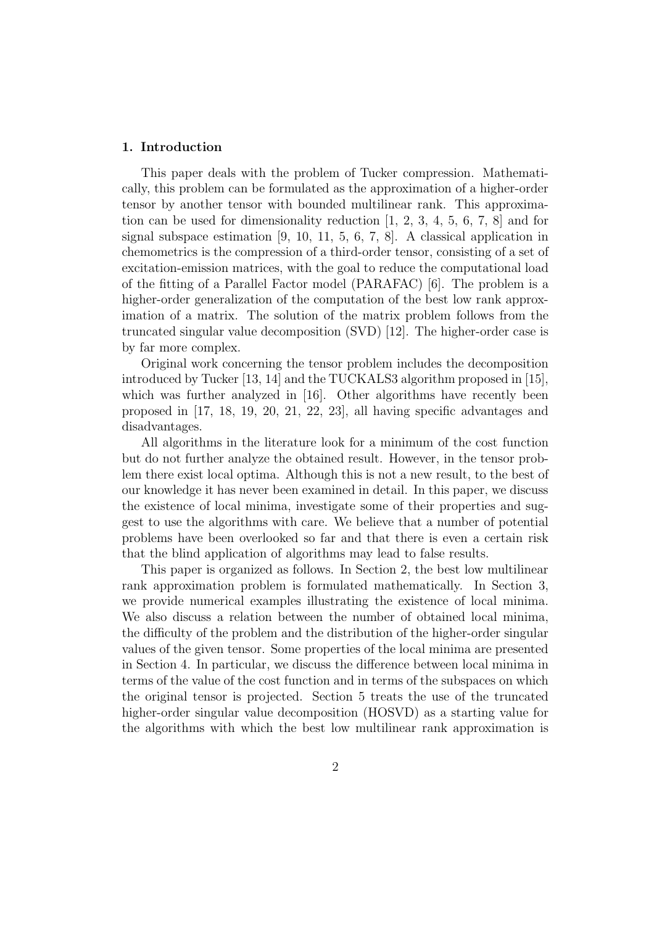### 1. Introduction

This paper deals with the problem of Tucker compression. Mathematically, this problem can be formulated as the approximation of a higher-order tensor by another tensor with bounded multilinear rank. This approximation can be used for dimensionality reduction [1, 2, 3, 4, 5, 6, 7, 8] and for signal subspace estimation [9, 10, 11, 5, 6, 7, 8]. A classical application in chemometrics is the compression of a third-order tensor, consisting of a set of excitation-emission matrices, with the goal to reduce the computational load of the fitting of a Parallel Factor model (PARAFAC) [6]. The problem is a higher-order generalization of the computation of the best low rank approximation of a matrix. The solution of the matrix problem follows from the truncated singular value decomposition (SVD) [12]. The higher-order case is by far more complex.

Original work concerning the tensor problem includes the decomposition introduced by Tucker [13, 14] and the TUCKALS3 algorithm proposed in [15], which was further analyzed in [16]. Other algorithms have recently been proposed in [17, 18, 19, 20, 21, 22, 23], all having specific advantages and disadvantages.

All algorithms in the literature look for a minimum of the cost function but do not further analyze the obtained result. However, in the tensor problem there exist local optima. Although this is not a new result, to the best of our knowledge it has never been examined in detail. In this paper, we discuss the existence of local minima, investigate some of their properties and suggest to use the algorithms with care. We believe that a number of potential problems have been overlooked so far and that there is even a certain risk that the blind application of algorithms may lead to false results.

This paper is organized as follows. In Section 2, the best low multilinear rank approximation problem is formulated mathematically. In Section 3, we provide numerical examples illustrating the existence of local minima. We also discuss a relation between the number of obtained local minima, the difficulty of the problem and the distribution of the higher-order singular values of the given tensor. Some properties of the local minima are presented in Section 4. In particular, we discuss the difference between local minima in terms of the value of the cost function and in terms of the subspaces on which the original tensor is projected. Section 5 treats the use of the truncated higher-order singular value decomposition (HOSVD) as a starting value for the algorithms with which the best low multilinear rank approximation is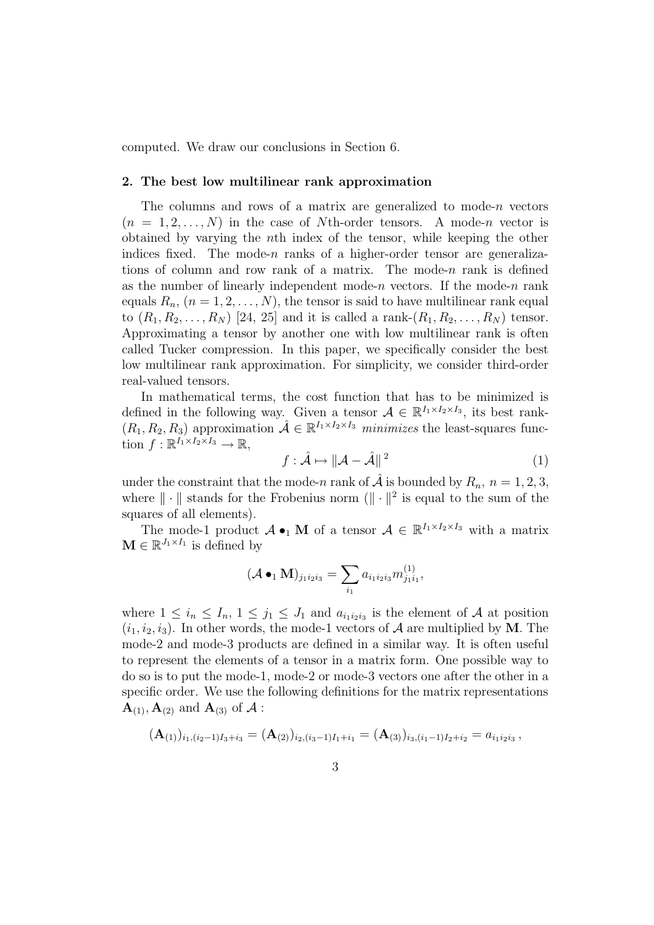computed. We draw our conclusions in Section 6.

### 2. The best low multilinear rank approximation

The columns and rows of a matrix are generalized to mode-n vectors  $(n = 1, 2, \ldots, N)$  in the case of Nth-order tensors. A mode-n vector is obtained by varying the nth index of the tensor, while keeping the other indices fixed. The mode- $n$  ranks of a higher-order tensor are generalizations of column and row rank of a matrix. The mode- $n$  rank is defined as the number of linearly independent mode-n vectors. If the mode-n rank equals  $R_n$ ,  $(n = 1, 2, ..., N)$ , the tensor is said to have multilinear rank equal to  $(R_1, R_2, \ldots, R_N)$  [24, 25] and it is called a rank- $(R_1, R_2, \ldots, R_N)$  tensor. Approximating a tensor by another one with low multilinear rank is often called Tucker compression. In this paper, we specifically consider the best low multilinear rank approximation. For simplicity, we consider third-order real-valued tensors.

In mathematical terms, the cost function that has to be minimized is defined in the following way. Given a tensor  $A \in \mathbb{R}^{I_1 \times I_2 \times I_3}$ , its best rank- $(R_1, R_2, R_3)$  approximation  $\mathcal{A} \in \mathbb{R}^{I_1 \times I_2 \times I_3}$  minimizes the least-squares function  $f: \mathbb{R}^{I_1 \times I_2 \times I_3} \to \mathbb{R}$ ,

$$
f: \hat{\mathcal{A}} \mapsto ||\mathcal{A} - \hat{\mathcal{A}}||^2 \tag{1}
$$

under the constraint that the mode-n rank of  $\hat{\mathcal{A}}$  is bounded by  $R_n$ ,  $n = 1, 2, 3$ , where  $\|\cdot\|$  stands for the Frobenius norm  $(\|\cdot\|^2)$  is equal to the sum of the squares of all elements).

The mode-1 product  $\mathcal{A} \bullet_1 \mathbf{M}$  of a tensor  $\mathcal{A} \in \mathbb{R}^{I_1 \times I_2 \times I_3}$  with a matrix  $\mathbf{M} \in \mathbb{R}^{J_1 \times I_1}$  is defined by

$$
(\mathcal{A} \bullet_1 \mathbf{M})_{j_1 i_2 i_3} = \sum_{i_1} a_{i_1 i_2 i_3} m_{j_1 i_1}^{(1)},
$$

where  $1 \leq i_n \leq I_n$ ,  $1 \leq j_1 \leq J_1$  and  $a_{i_1 i_2 i_3}$  is the element of A at position  $(i_1, i_2, i_3)$ . In other words, the mode-1 vectors of A are multiplied by M. The mode-2 and mode-3 products are defined in a similar way. It is often useful to represent the elements of a tensor in a matrix form. One possible way to do so is to put the mode-1, mode-2 or mode-3 vectors one after the other in a specific order. We use the following definitions for the matrix representations  $\mathbf{A}_{(1)}$ ,  $\mathbf{A}_{(2)}$  and  $\mathbf{A}_{(3)}$  of  $\mathcal{A}$ :

$$
(\mathbf{A}_{(1)})_{i_1,(i_2-1)I_3+i_3}=(\mathbf{A}_{(2)})_{i_2,(i_3-1)I_1+i_1}=(\mathbf{A}_{(3)})_{i_3,(i_1-1)I_2+i_2}=a_{i_1i_2i_3}\,,
$$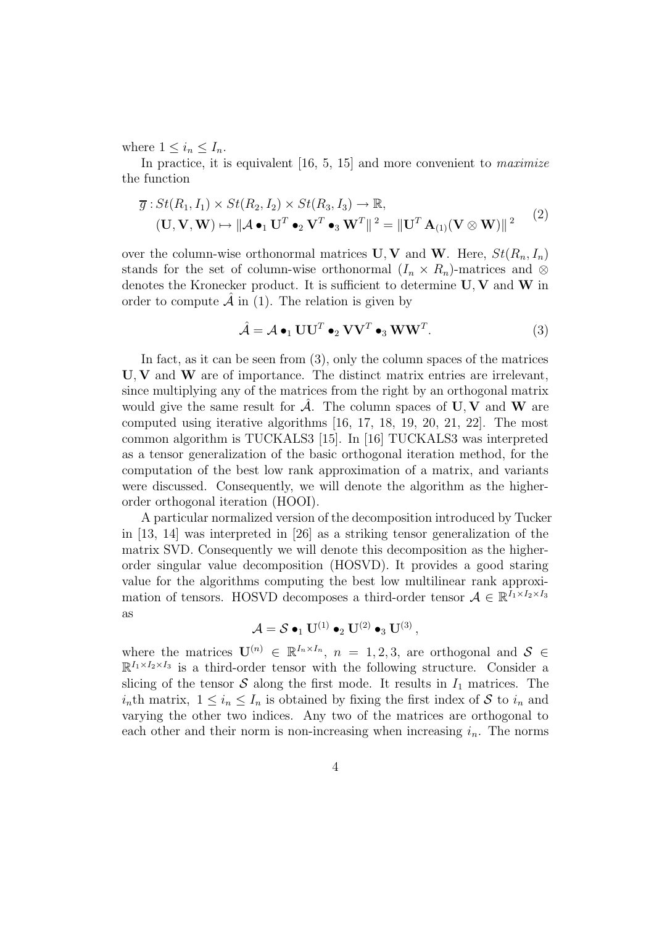where  $1 \leq i_n \leq I_n$ .

In practice, it is equivalent  $[16, 5, 15]$  and more convenient to *maximize* the function

$$
\overline{g}: St(R_1, I_1) \times St(R_2, I_2) \times St(R_3, I_3) \to \mathbb{R},
$$
  

$$
(\mathbf{U}, \mathbf{V}, \mathbf{W}) \mapsto ||\mathcal{A} \bullet_1 \mathbf{U}^T \bullet_2 \mathbf{V}^T \bullet_3 \mathbf{W}^T||^2 = ||\mathbf{U}^T \mathbf{A}_{(1)}(\mathbf{V} \otimes \mathbf{W})||^2
$$
 (2)

over the column-wise orthonormal matrices  $\mathbf{U}, \mathbf{V}$  and  $\mathbf{W}$ . Here,  $St(R_n, I_n)$ stands for the set of column-wise orthonormal  $(I_n \times R_n)$ -matrices and ⊗ denotes the Kronecker product. It is sufficient to determine  $U, V$  and  $W$  in order to compute  $\hat{\mathcal{A}}$  in (1). The relation is given by

$$
\hat{\mathcal{A}} = \mathcal{A} \bullet_1 \mathbf{U} \mathbf{U}^T \bullet_2 \mathbf{V} \mathbf{V}^T \bullet_3 \mathbf{W} \mathbf{W}^T.
$$
 (3)

In fact, as it can be seen from  $(3)$ , only the column spaces of the matrices  $U, V$  and  $W$  are of importance. The distinct matrix entries are irrelevant, since multiplying any of the matrices from the right by an orthogonal matrix would give the same result for  $\mathcal{A}$ . The column spaces of  $\mathbf{U}, \mathbf{V}$  and  $\mathbf{W}$  are computed using iterative algorithms [16, 17, 18, 19, 20, 21, 22]. The most common algorithm is TUCKALS3 [15]. In [16] TUCKALS3 was interpreted as a tensor generalization of the basic orthogonal iteration method, for the computation of the best low rank approximation of a matrix, and variants were discussed. Consequently, we will denote the algorithm as the higherorder orthogonal iteration (HOOI).

A particular normalized version of the decomposition introduced by Tucker in [13, 14] was interpreted in [26] as a striking tensor generalization of the matrix SVD. Consequently we will denote this decomposition as the higherorder singular value decomposition (HOSVD). It provides a good staring value for the algorithms computing the best low multilinear rank approximation of tensors. HOSVD decomposes a third-order tensor  $A \in \mathbb{R}^{I_1 \times I_2 \times I_3}$ as

$$
\mathcal{A} = \mathcal{S} \bullet_1 \mathbf{U}^{(1)} \bullet_2 \mathbf{U}^{(2)} \bullet_3 \mathbf{U}^{(3)},
$$

where the matrices  $\mathbf{U}^{(n)} \in \mathbb{R}^{I_n \times I_n}$ ,  $n = 1, 2, 3$ , are orthogonal and  $S \in$  $\mathbb{R}^{I_1 \times I_2 \times I_3}$  is a third-order tensor with the following structure. Consider a slicing of the tensor  $S$  along the first mode. It results in  $I_1$  matrices. The  $i_n$ th matrix,  $1 \leq i_n \leq I_n$  is obtained by fixing the first index of S to  $i_n$  and varying the other two indices. Any two of the matrices are orthogonal to each other and their norm is non-increasing when increasing  $i_n$ . The norms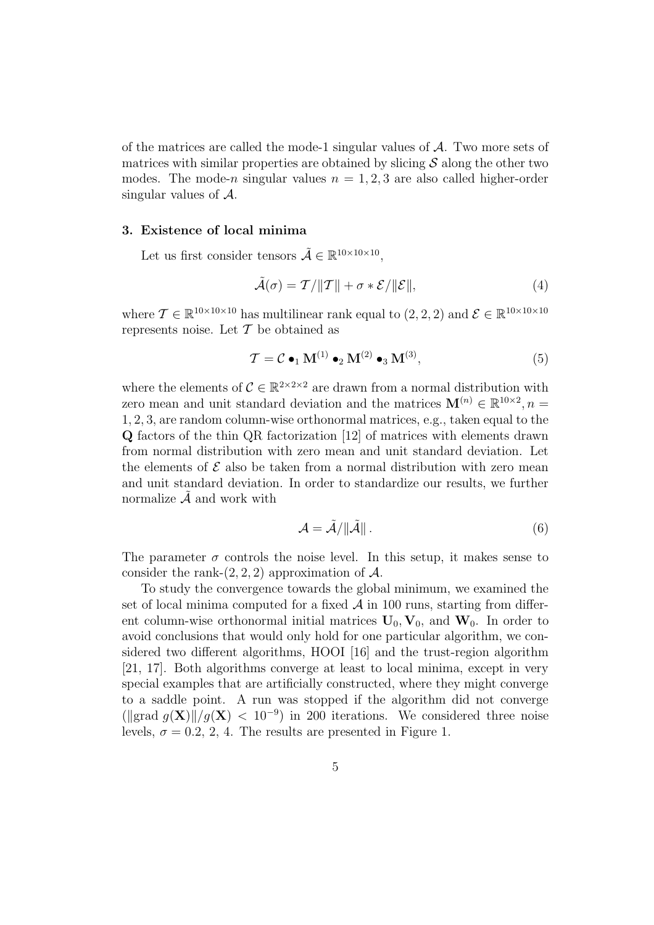of the matrices are called the mode-1 singular values of  $A$ . Two more sets of matrices with similar properties are obtained by slicing  $\mathcal S$  along the other two modes. The mode-n singular values  $n = 1, 2, 3$  are also called higher-order singular values of  $A$ .

#### 3. Existence of local minima

Let us first consider tensors  $\tilde{A} \in \mathbb{R}^{10 \times 10 \times 10}$ ,

$$
\tilde{\mathcal{A}}(\sigma) = \mathcal{T}/||\mathcal{T}|| + \sigma * \mathcal{E}/||\mathcal{E}||,
$$
\n(4)

where  $\mathcal{T} \in \mathbb{R}^{10 \times 10 \times 10}$  has multilinear rank equal to  $(2, 2, 2)$  and  $\mathcal{E} \in \mathbb{R}^{10 \times 10 \times 10}$ represents noise. Let  $\mathcal T$  be obtained as

$$
\mathcal{T} = \mathcal{C} \bullet_1 \mathbf{M}^{(1)} \bullet_2 \mathbf{M}^{(2)} \bullet_3 \mathbf{M}^{(3)},\tag{5}
$$

where the elements of  $C \in \mathbb{R}^{2 \times 2 \times 2}$  are drawn from a normal distribution with zero mean and unit standard deviation and the matrices  $\mathbf{M}^{(n)} \in \mathbb{R}^{10 \times 2}, n =$ 1, 2, 3, are random column-wise orthonormal matrices, e.g., taken equal to the Q factors of the thin QR factorization [12] of matrices with elements drawn from normal distribution with zero mean and unit standard deviation. Let the elements of  $\mathcal E$  also be taken from a normal distribution with zero mean and unit standard deviation. In order to standardize our results, we further normalize  $\tilde{\mathcal{A}}$  and work with

$$
\mathcal{A} = \tilde{\mathcal{A}} / \|\tilde{\mathcal{A}}\| \,. \tag{6}
$$

The parameter  $\sigma$  controls the noise level. In this setup, it makes sense to consider the rank- $(2, 2, 2)$  approximation of A.

To study the convergence towards the global minimum, we examined the set of local minima computed for a fixed  $A$  in 100 runs, starting from different column-wise orthonormal initial matrices  $U_0$ ,  $V_0$ , and  $W_0$ . In order to avoid conclusions that would only hold for one particular algorithm, we considered two different algorithms, HOOI [16] and the trust-region algorithm [21, 17]. Both algorithms converge at least to local minima, except in very special examples that are artificially constructed, where they might converge to a saddle point. A run was stopped if the algorithm did not converge (||grad  $g(\mathbf{X})$ ||/ $g(\mathbf{X})$  < 10<sup>-9</sup>) in 200 iterations. We considered three noise levels,  $\sigma = 0.2, 2, 4$ . The results are presented in Figure 1.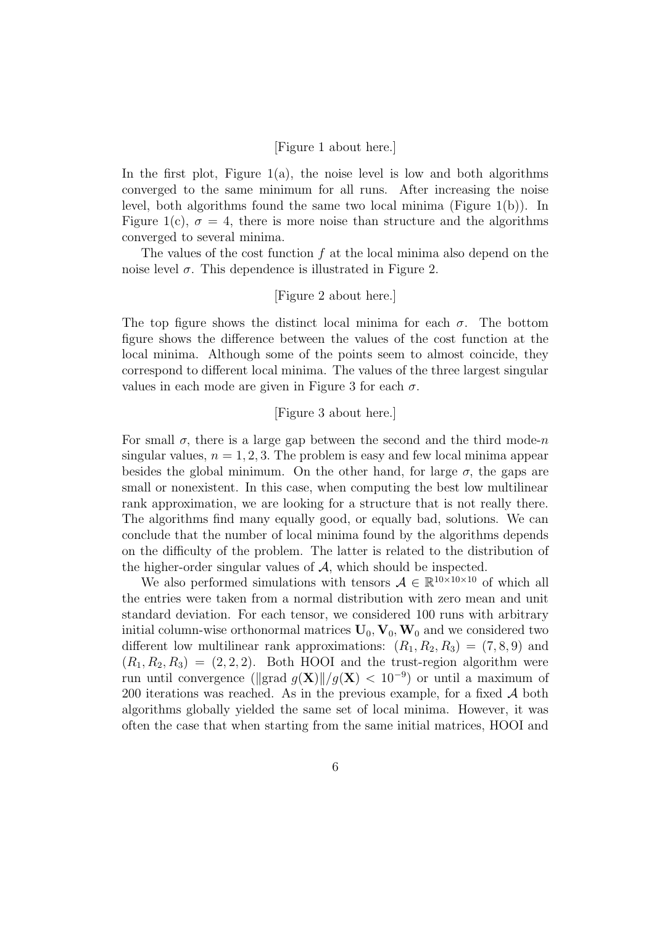## [Figure 1 about here.]

In the first plot, Figure  $1(a)$ , the noise level is low and both algorithms converged to the same minimum for all runs. After increasing the noise level, both algorithms found the same two local minima (Figure 1(b)). In Figure 1(c),  $\sigma = 4$ , there is more noise than structure and the algorithms converged to several minima.

The values of the cost function  $f$  at the local minima also depend on the noise level  $\sigma$ . This dependence is illustrated in Figure 2.

# [Figure 2 about here.]

The top figure shows the distinct local minima for each  $\sigma$ . The bottom figure shows the difference between the values of the cost function at the local minima. Although some of the points seem to almost coincide, they correspond to different local minima. The values of the three largest singular values in each mode are given in Figure 3 for each  $\sigma$ .

# [Figure 3 about here.]

For small  $\sigma$ , there is a large gap between the second and the third mode-n singular values,  $n = 1, 2, 3$ . The problem is easy and few local minima appear besides the global minimum. On the other hand, for large  $\sigma$ , the gaps are small or nonexistent. In this case, when computing the best low multilinear rank approximation, we are looking for a structure that is not really there. The algorithms find many equally good, or equally bad, solutions. We can conclude that the number of local minima found by the algorithms depends on the difficulty of the problem. The latter is related to the distribution of the higher-order singular values of  $A$ , which should be inspected.

We also performed simulations with tensors  $A \in \mathbb{R}^{10 \times 10 \times 10}$  of which all the entries were taken from a normal distribution with zero mean and unit standard deviation. For each tensor, we considered 100 runs with arbitrary initial column-wise orthonormal matrices  $U_0$ ,  $V_0$ ,  $W_0$  and we considered two different low multilinear rank approximations:  $(R_1, R_2, R_3) = (7, 8, 9)$  and  $(R_1, R_2, R_3) = (2, 2, 2)$ . Both HOOI and the trust-region algorithm were run until convergence ( $\left\|\text{grad } g(\mathbf{X})\right\|/g(\mathbf{X}) < 10^{-9}$ ) or until a maximum of 200 iterations was reached. As in the previous example, for a fixed  $A$  both algorithms globally yielded the same set of local minima. However, it was often the case that when starting from the same initial matrices, HOOI and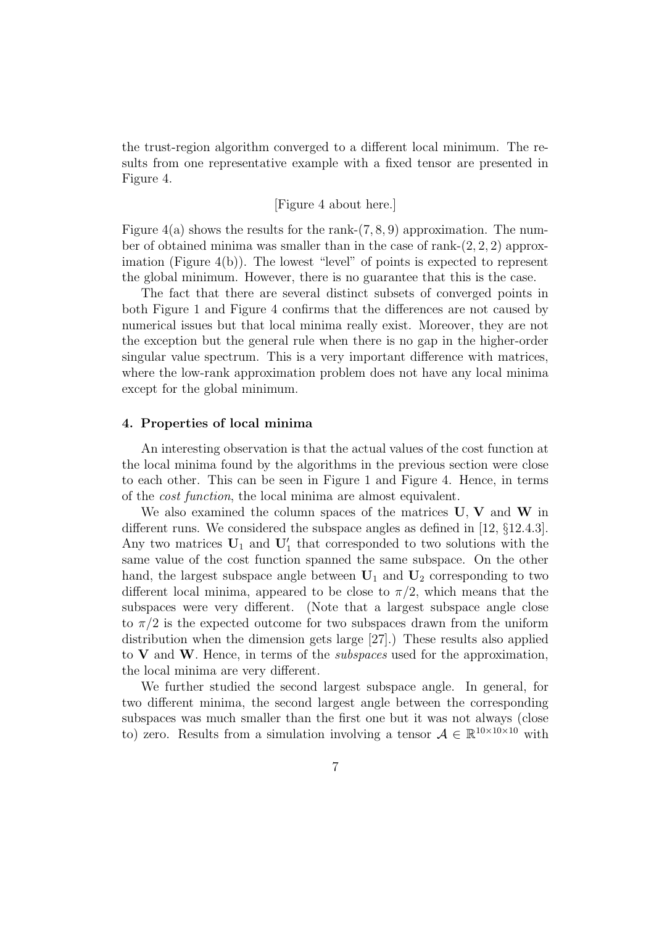the trust-region algorithm converged to a different local minimum. The results from one representative example with a fixed tensor are presented in Figure 4.

## [Figure 4 about here.]

Figure  $4(a)$  shows the results for the rank- $(7, 8, 9)$  approximation. The number of obtained minima was smaller than in the case of rank- $(2, 2, 2)$  approximation (Figure 4(b)). The lowest "level" of points is expected to represent the global minimum. However, there is no guarantee that this is the case.

The fact that there are several distinct subsets of converged points in both Figure 1 and Figure 4 confirms that the differences are not caused by numerical issues but that local minima really exist. Moreover, they are not the exception but the general rule when there is no gap in the higher-order singular value spectrum. This is a very important difference with matrices, where the low-rank approximation problem does not have any local minima except for the global minimum.

### 4. Properties of local minima

An interesting observation is that the actual values of the cost function at the local minima found by the algorithms in the previous section were close to each other. This can be seen in Figure 1 and Figure 4. Hence, in terms of the cost function, the local minima are almost equivalent.

We also examined the column spaces of the matrices  $U, V$  and  $W$  in different runs. We considered the subspace angles as defined in [12, §12.4.3]. Any two matrices  $U_1$  and  $U'_1$  that corresponded to two solutions with the same value of the cost function spanned the same subspace. On the other hand, the largest subspace angle between  $U_1$  and  $U_2$  corresponding to two different local minima, appeared to be close to  $\pi/2$ , which means that the subspaces were very different. (Note that a largest subspace angle close to  $\pi/2$  is the expected outcome for two subspaces drawn from the uniform distribution when the dimension gets large [27].) These results also applied to  $V$  and  $W$ . Hence, in terms of the *subspaces* used for the approximation, the local minima are very different.

We further studied the second largest subspace angle. In general, for two different minima, the second largest angle between the corresponding subspaces was much smaller than the first one but it was not always (close to) zero. Results from a simulation involving a tensor  $A \in \mathbb{R}^{10 \times 10 \times 10}$  with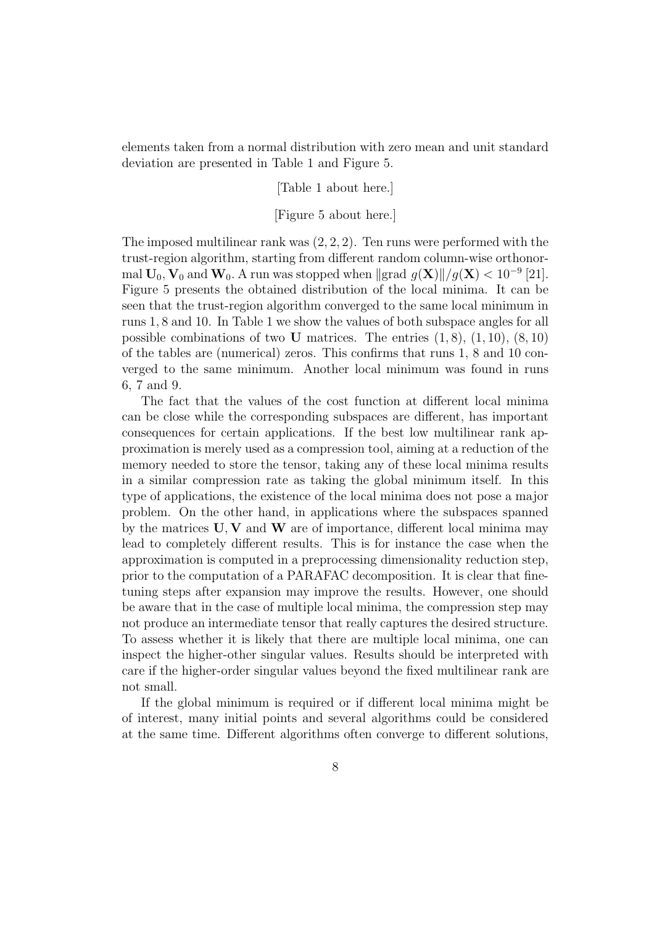elements taken from a normal distribution with zero mean and unit standard deviation are presented in Table 1 and Figure 5.

[Table 1 about here.]

## [Figure 5 about here.]

The imposed multilinear rank was  $(2, 2, 2)$ . Ten runs were performed with the trust-region algorithm, starting from different random column-wise orthonormal  $\mathbf{U}_0$ ,  $\mathbf{V}_0$  and  $\mathbf{W}_0$ . A run was stopped when  $\|\text{grad } g(\mathbf{X})\|/g(\mathbf{X}) < 10^{-9}$  [21]. Figure 5 presents the obtained distribution of the local minima. It can be seen that the trust-region algorithm converged to the same local minimum in runs 1, 8 and 10. In Table 1 we show the values of both subspace angles for all possible combinations of two U matrices. The entries  $(1, 8)$ ,  $(1, 10)$ ,  $(8, 10)$ of the tables are (numerical) zeros. This confirms that runs 1, 8 and 10 converged to the same minimum. Another local minimum was found in runs 6, 7 and 9.

The fact that the values of the cost function at different local minima can be close while the corresponding subspaces are different, has important consequences for certain applications. If the best low multilinear rank approximation is merely used as a compression tool, aiming at a reduction of the memory needed to store the tensor, taking any of these local minima results in a similar compression rate as taking the global minimum itself. In this type of applications, the existence of the local minima does not pose a major problem. On the other hand, in applications where the subspaces spanned by the matrices  $U, V$  and  $W$  are of importance, different local minima may lead to completely different results. This is for instance the case when the approximation is computed in a preprocessing dimensionality reduction step, prior to the computation of a PARAFAC decomposition. It is clear that finetuning steps after expansion may improve the results. However, one should be aware that in the case of multiple local minima, the compression step may not produce an intermediate tensor that really captures the desired structure. To assess whether it is likely that there are multiple local minima, one can inspect the higher-other singular values. Results should be interpreted with care if the higher-order singular values beyond the fixed multilinear rank are not small.

If the global minimum is required or if different local minima might be of interest, many initial points and several algorithms could be considered at the same time. Different algorithms often converge to different solutions,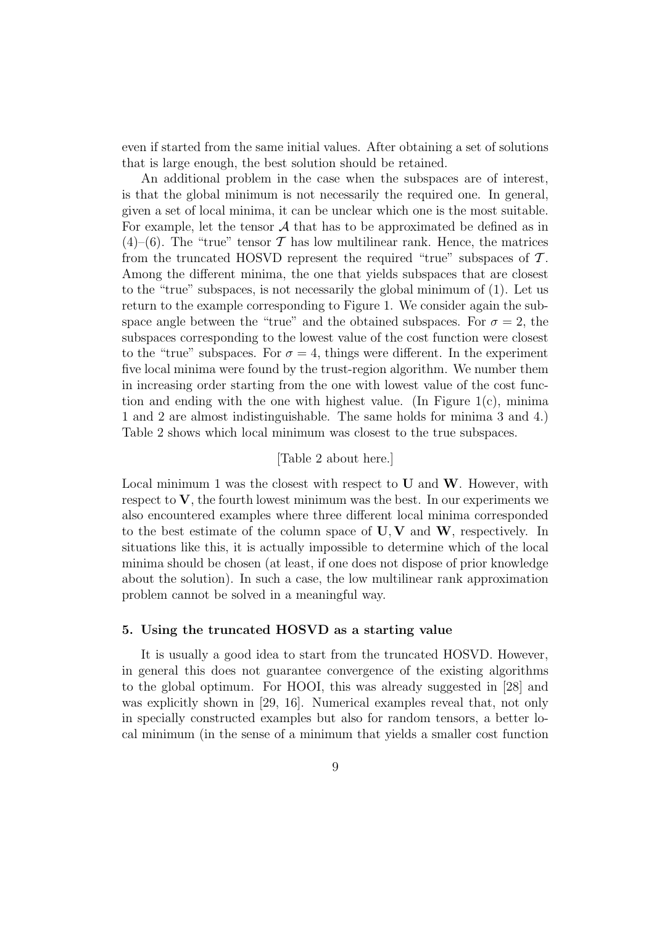even if started from the same initial values. After obtaining a set of solutions that is large enough, the best solution should be retained.

An additional problem in the case when the subspaces are of interest, is that the global minimum is not necessarily the required one. In general, given a set of local minima, it can be unclear which one is the most suitable. For example, let the tensor  $\mathcal A$  that has to be approximated be defined as in  $(4)$ –(6). The "true" tensor T has low multilinear rank. Hence, the matrices from the truncated HOSVD represent the required "true" subspaces of  $\mathcal{T}$ . Among the different minima, the one that yields subspaces that are closest to the "true" subspaces, is not necessarily the global minimum of (1). Let us return to the example corresponding to Figure 1. We consider again the subspace angle between the "true" and the obtained subspaces. For  $\sigma = 2$ , the subspaces corresponding to the lowest value of the cost function were closest to the "true" subspaces. For  $\sigma = 4$ , things were different. In the experiment five local minima were found by the trust-region algorithm. We number them in increasing order starting from the one with lowest value of the cost function and ending with the one with highest value. (In Figure  $1(c)$ , minima 1 and 2 are almost indistinguishable. The same holds for minima 3 and 4.) Table 2 shows which local minimum was closest to the true subspaces.

## [Table 2 about here.]

Local minimum 1 was the closest with respect to  $U$  and  $W$ . However, with respect to  $V$ , the fourth lowest minimum was the best. In our experiments we also encountered examples where three different local minima corresponded to the best estimate of the column space of  $U, V$  and  $W$ , respectively. In situations like this, it is actually impossible to determine which of the local minima should be chosen (at least, if one does not dispose of prior knowledge about the solution). In such a case, the low multilinear rank approximation problem cannot be solved in a meaningful way.

## 5. Using the truncated HOSVD as a starting value

It is usually a good idea to start from the truncated HOSVD. However, in general this does not guarantee convergence of the existing algorithms to the global optimum. For HOOI, this was already suggested in [28] and was explicitly shown in [29, 16]. Numerical examples reveal that, not only in specially constructed examples but also for random tensors, a better local minimum (in the sense of a minimum that yields a smaller cost function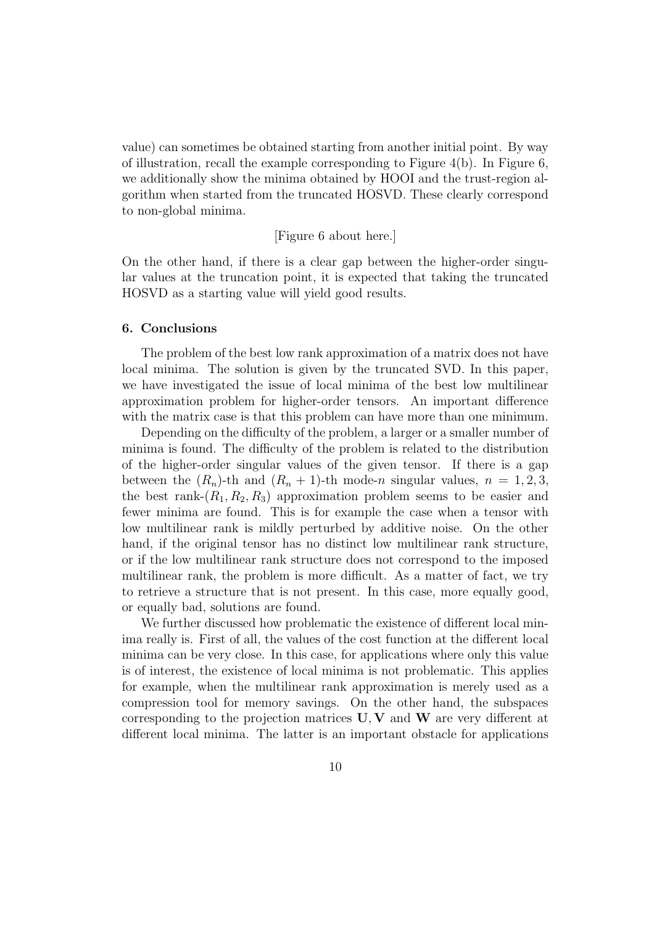value) can sometimes be obtained starting from another initial point. By way of illustration, recall the example corresponding to Figure  $4(b)$ . In Figure 6, we additionally show the minima obtained by HOOI and the trust-region algorithm when started from the truncated HOSVD. These clearly correspond to non-global minima.

[Figure 6 about here.]

On the other hand, if there is a clear gap between the higher-order singular values at the truncation point, it is expected that taking the truncated HOSVD as a starting value will yield good results.

#### 6. Conclusions

The problem of the best low rank approximation of a matrix does not have local minima. The solution is given by the truncated SVD. In this paper, we have investigated the issue of local minima of the best low multilinear approximation problem for higher-order tensors. An important difference with the matrix case is that this problem can have more than one minimum.

Depending on the difficulty of the problem, a larger or a smaller number of minima is found. The difficulty of the problem is related to the distribution of the higher-order singular values of the given tensor. If there is a gap between the  $(R_n)$ -th and  $(R_n + 1)$ -th mode-n singular values,  $n = 1, 2, 3$ , the best rank- $(R_1, R_2, R_3)$  approximation problem seems to be easier and fewer minima are found. This is for example the case when a tensor with low multilinear rank is mildly perturbed by additive noise. On the other hand, if the original tensor has no distinct low multilinear rank structure, or if the low multilinear rank structure does not correspond to the imposed multilinear rank, the problem is more difficult. As a matter of fact, we try to retrieve a structure that is not present. In this case, more equally good, or equally bad, solutions are found.

We further discussed how problematic the existence of different local minima really is. First of all, the values of the cost function at the different local minima can be very close. In this case, for applications where only this value is of interest, the existence of local minima is not problematic. This applies for example, when the multilinear rank approximation is merely used as a compression tool for memory savings. On the other hand, the subspaces corresponding to the projection matrices  $U, V$  and  $W$  are very different at different local minima. The latter is an important obstacle for applications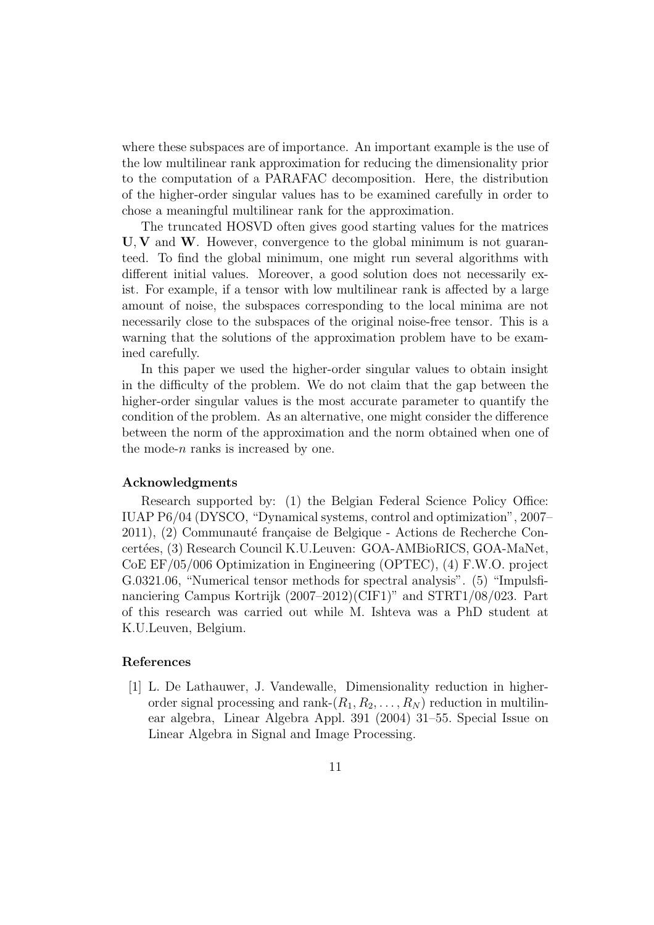where these subspaces are of importance. An important example is the use of the low multilinear rank approximation for reducing the dimensionality prior to the computation of a PARAFAC decomposition. Here, the distribution of the higher-order singular values has to be examined carefully in order to chose a meaningful multilinear rank for the approximation.

The truncated HOSVD often gives good starting values for the matrices  $U, V$  and  $W$ . However, convergence to the global minimum is not guaranteed. To find the global minimum, one might run several algorithms with different initial values. Moreover, a good solution does not necessarily exist. For example, if a tensor with low multilinear rank is affected by a large amount of noise, the subspaces corresponding to the local minima are not necessarily close to the subspaces of the original noise-free tensor. This is a warning that the solutions of the approximation problem have to be examined carefully.

In this paper we used the higher-order singular values to obtain insight in the difficulty of the problem. We do not claim that the gap between the higher-order singular values is the most accurate parameter to quantify the condition of the problem. As an alternative, one might consider the difference between the norm of the approximation and the norm obtained when one of the mode- $n$  ranks is increased by one.

#### Acknowledgments

Research supported by: (1) the Belgian Federal Science Policy Office: IUAP P6/04 (DYSCO, "Dynamical systems, control and optimization", 2007– 2011), (2) Communauté française de Belgique - Actions de Recherche Concert´ees, (3) Research Council K.U.Leuven: GOA-AMBioRICS, GOA-MaNet, CoE EF/05/006 Optimization in Engineering (OPTEC), (4) F.W.O. project G.0321.06, "Numerical tensor methods for spectral analysis". (5) "Impulsfinanciering Campus Kortrijk (2007–2012)(CIF1)" and STRT1/08/023. Part of this research was carried out while M. Ishteva was a PhD student at K.U.Leuven, Belgium.

### References

[1] L. De Lathauwer, J. Vandewalle, Dimensionality reduction in higherorder signal processing and rank- $(R_1, R_2, \ldots, R_N)$  reduction in multilinear algebra, Linear Algebra Appl. 391 (2004) 31–55. Special Issue on Linear Algebra in Signal and Image Processing.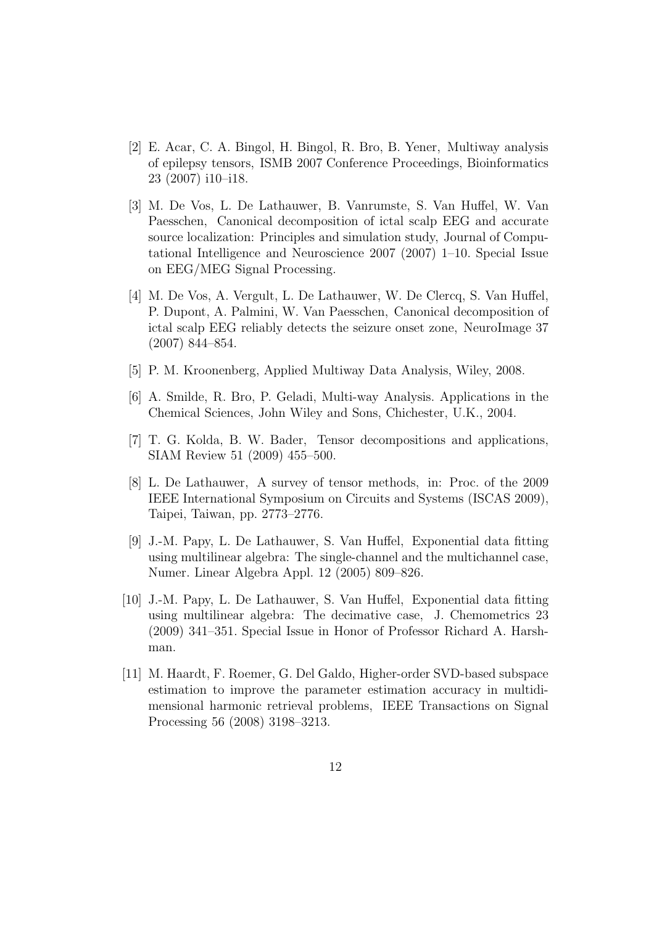- [2] E. Acar, C. A. Bingol, H. Bingol, R. Bro, B. Yener, Multiway analysis of epilepsy tensors, ISMB 2007 Conference Proceedings, Bioinformatics 23 (2007) i10–i18.
- [3] M. De Vos, L. De Lathauwer, B. Vanrumste, S. Van Huffel, W. Van Paesschen, Canonical decomposition of ictal scalp EEG and accurate source localization: Principles and simulation study, Journal of Computational Intelligence and Neuroscience 2007 (2007) 1–10. Special Issue on EEG/MEG Signal Processing.
- [4] M. De Vos, A. Vergult, L. De Lathauwer, W. De Clercq, S. Van Huffel, P. Dupont, A. Palmini, W. Van Paesschen, Canonical decomposition of ictal scalp EEG reliably detects the seizure onset zone, NeuroImage 37 (2007) 844–854.
- [5] P. M. Kroonenberg, Applied Multiway Data Analysis, Wiley, 2008.
- [6] A. Smilde, R. Bro, P. Geladi, Multi-way Analysis. Applications in the Chemical Sciences, John Wiley and Sons, Chichester, U.K., 2004.
- [7] T. G. Kolda, B. W. Bader, Tensor decompositions and applications, SIAM Review 51 (2009) 455–500.
- [8] L. De Lathauwer, A survey of tensor methods, in: Proc. of the 2009 IEEE International Symposium on Circuits and Systems (ISCAS 2009), Taipei, Taiwan, pp. 2773–2776.
- [9] J.-M. Papy, L. De Lathauwer, S. Van Huffel, Exponential data fitting using multilinear algebra: The single-channel and the multichannel case, Numer. Linear Algebra Appl. 12 (2005) 809–826.
- [10] J.-M. Papy, L. De Lathauwer, S. Van Huffel, Exponential data fitting using multilinear algebra: The decimative case, J. Chemometrics 23 (2009) 341–351. Special Issue in Honor of Professor Richard A. Harshman.
- [11] M. Haardt, F. Roemer, G. Del Galdo, Higher-order SVD-based subspace estimation to improve the parameter estimation accuracy in multidimensional harmonic retrieval problems, IEEE Transactions on Signal Processing 56 (2008) 3198–3213.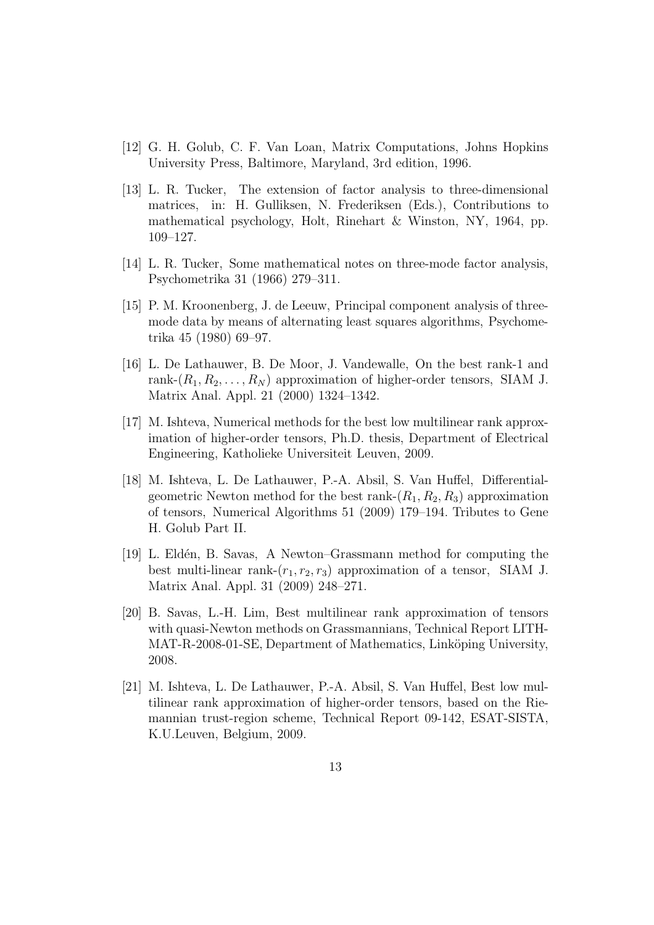- [12] G. H. Golub, C. F. Van Loan, Matrix Computations, Johns Hopkins University Press, Baltimore, Maryland, 3rd edition, 1996.
- [13] L. R. Tucker, The extension of factor analysis to three-dimensional matrices, in: H. Gulliksen, N. Frederiksen (Eds.), Contributions to mathematical psychology, Holt, Rinehart & Winston, NY, 1964, pp. 109–127.
- [14] L. R. Tucker, Some mathematical notes on three-mode factor analysis, Psychometrika 31 (1966) 279–311.
- [15] P. M. Kroonenberg, J. de Leeuw, Principal component analysis of threemode data by means of alternating least squares algorithms, Psychometrika 45 (1980) 69–97.
- [16] L. De Lathauwer, B. De Moor, J. Vandewalle, On the best rank-1 and rank- $(R_1, R_2, \ldots, R_N)$  approximation of higher-order tensors, SIAM J. Matrix Anal. Appl. 21 (2000) 1324–1342.
- [17] M. Ishteva, Numerical methods for the best low multilinear rank approximation of higher-order tensors, Ph.D. thesis, Department of Electrical Engineering, Katholieke Universiteit Leuven, 2009.
- [18] M. Ishteva, L. De Lathauwer, P.-A. Absil, S. Van Huffel, Differentialgeometric Newton method for the best rank- $(R_1, R_2, R_3)$  approximation of tensors, Numerical Algorithms 51 (2009) 179–194. Tributes to Gene H. Golub Part II.
- [19] L. Eldén, B. Savas, A Newton–Grassmann method for computing the best multi-linear rank- $(r_1, r_2, r_3)$  approximation of a tensor, SIAM J. Matrix Anal. Appl. 31 (2009) 248–271.
- [20] B. Savas, L.-H. Lim, Best multilinear rank approximation of tensors with quasi-Newton methods on Grassmannians, Technical Report LITH-MAT-R-2008-01-SE, Department of Mathematics, Linköping University, 2008.
- [21] M. Ishteva, L. De Lathauwer, P.-A. Absil, S. Van Huffel, Best low multilinear rank approximation of higher-order tensors, based on the Riemannian trust-region scheme, Technical Report 09-142, ESAT-SISTA, K.U.Leuven, Belgium, 2009.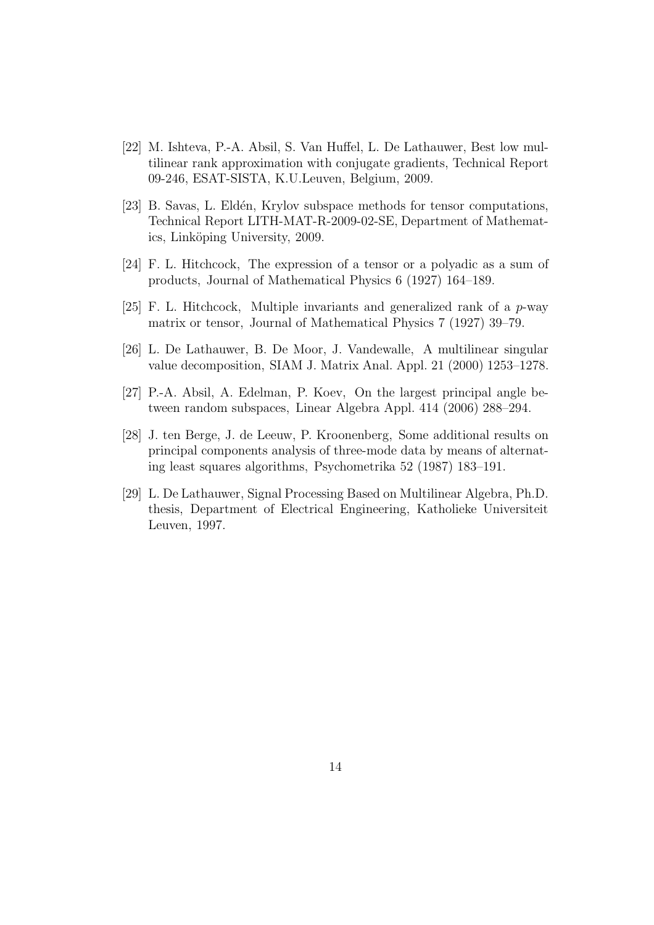- [22] M. Ishteva, P.-A. Absil, S. Van Huffel, L. De Lathauwer, Best low multilinear rank approximation with conjugate gradients, Technical Report 09-246, ESAT-SISTA, K.U.Leuven, Belgium, 2009.
- [23] B. Savas, L. Eld´en, Krylov subspace methods for tensor computations, Technical Report LITH-MAT-R-2009-02-SE, Department of Mathematics, Linköping University, 2009.
- [24] F. L. Hitchcock, The expression of a tensor or a polyadic as a sum of products, Journal of Mathematical Physics 6 (1927) 164–189.
- [25] F. L. Hitchcock, Multiple invariants and generalized rank of a  $p$ -way matrix or tensor, Journal of Mathematical Physics 7 (1927) 39–79.
- [26] L. De Lathauwer, B. De Moor, J. Vandewalle, A multilinear singular value decomposition, SIAM J. Matrix Anal. Appl. 21 (2000) 1253–1278.
- [27] P.-A. Absil, A. Edelman, P. Koev, On the largest principal angle between random subspaces, Linear Algebra Appl. 414 (2006) 288–294.
- [28] J. ten Berge, J. de Leeuw, P. Kroonenberg, Some additional results on principal components analysis of three-mode data by means of alternating least squares algorithms, Psychometrika 52 (1987) 183–191.
- [29] L. De Lathauwer, Signal Processing Based on Multilinear Algebra, Ph.D. thesis, Department of Electrical Engineering, Katholieke Universiteit Leuven, 1997.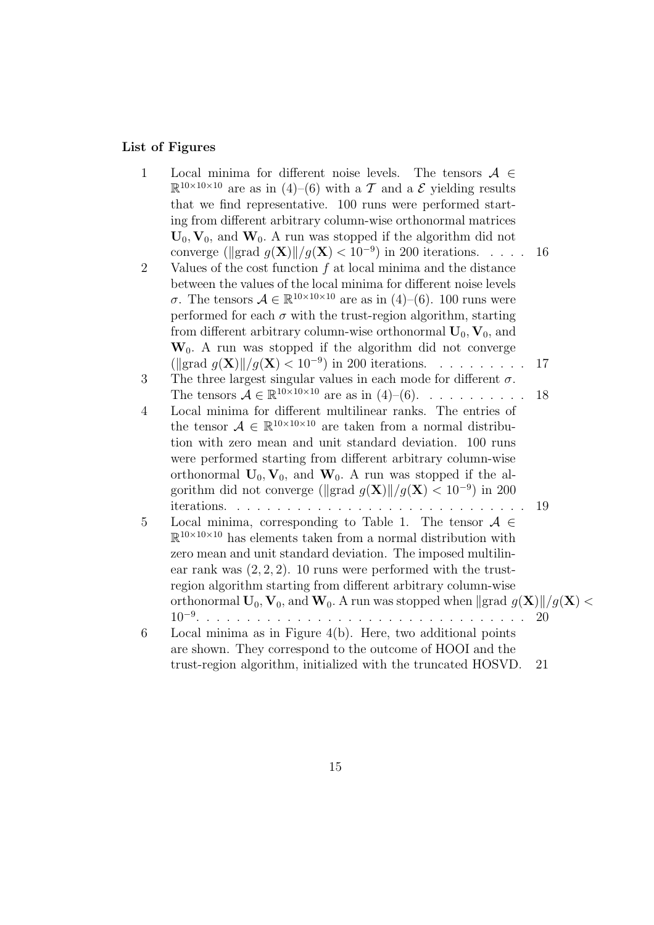## List of Figures

1 Local minima for different noise levels. The tensors  $A \in$  $\mathbb{R}^{10\times10\times10}$  are as in (4)–(6) with a T and a E yielding results that we find representative. 100 runs were performed starting from different arbitrary column-wise orthonormal matrices  $U_0$ ,  $V_0$ , and  $W_0$ . A run was stopped if the algorithm did not converge ( $\| \text{grad } g(\mathbf{X}) \| / g(\mathbf{X}) < 10^{-9}$ ) in 200 iterations. . . . . . 16 2 Values of the cost function f at local minima and the distance between the values of the local minima for different noise levels σ. The tensors  $A \in \mathbb{R}^{10 \times 10 \times 10}$  are as in (4)–(6). 100 runs were performed for each  $\sigma$  with the trust-region algorithm, starting from different arbitrary column-wise orthonormal  $U_0$ ,  $V_0$ , and  $W_0$ . A run was stopped if the algorithm did not converge  $(\text{grad } g(\mathbf{X}) \mid |g(\mathbf{X})| < 10^{-9})$  in 200 iterations. . . . . . . . . . 17 3 The three largest singular values in each mode for different  $\sigma$ . The tensors  $\mathcal{A} \in \mathbb{R}^{10 \times 10 \times 10}$  are as in  $(4)$ – $(6)$ . . . . . . . . . . . 18 4 Local minima for different multilinear ranks. The entries of the tensor  $A \in \mathbb{R}^{10 \times 10 \times 10}$  are taken from a normal distribution with zero mean and unit standard deviation. 100 runs were performed starting from different arbitrary column-wise orthonormal  $U_0$ ,  $V_0$ , and  $W_0$ . A run was stopped if the algorithm did not converge ( $\langle \langle g \rangle | / g(\mathbf{X}) < 10^{-9} \rangle$  in 200 iterations. . . . . . . . . . . . . . . . . . . . . . . . . . . . . . 19 5 Local minima, corresponding to Table 1. The tensor  $A \in$  $\mathbb{R}^{10\times10\times10}$  has elements taken from a normal distribution with zero mean and unit standard deviation. The imposed multilinear rank was  $(2, 2, 2)$ . 10 runs were performed with the trustregion algorithm starting from different arbitrary column-wise orthonormal  $\mathbf{U}_0$ ,  $\mathbf{V}_0$ , and  $\mathbf{W}_0$ . A run was stopped when  $\|\text{grad } g(\mathbf{X})\|/g(\mathbf{X}) < 10^{-9}$ 10−<sup>9</sup> . . . . . . . . . . . . . . . . . . . . . . . . . . . . . . . . . 20 6 Local minima as in Figure 4(b). Here, two additional points are shown. They correspond to the outcome of HOOI and the trust-region algorithm, initialized with the truncated HOSVD. 21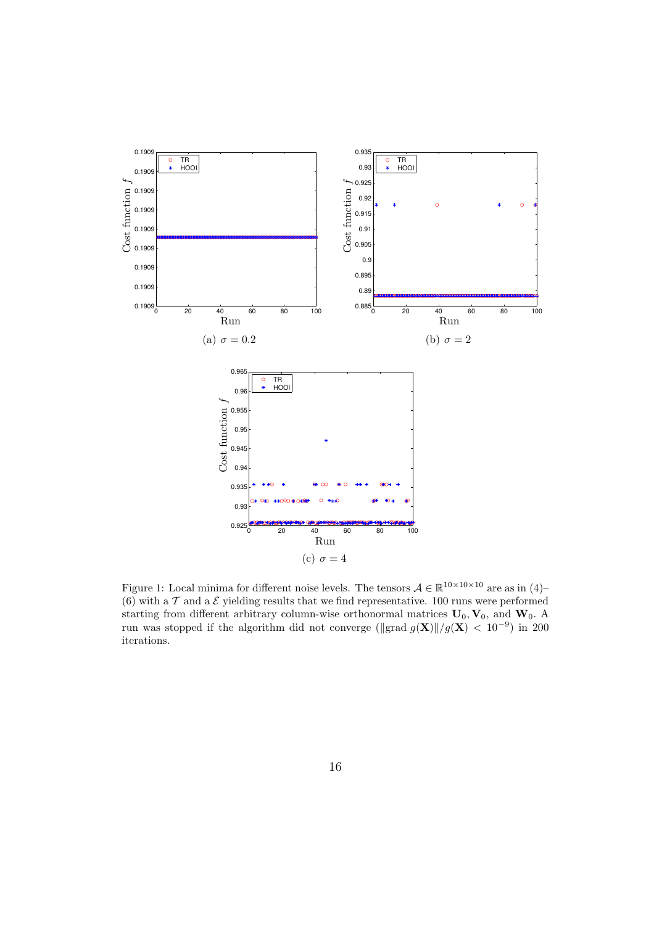

Figure 1: Local minima for different noise levels. The tensors  $A \in \mathbb{R}^{10 \times 10 \times 10}$  are as in (4)– (6) with a  $T$  and a  $\mathcal E$  yielding results that we find representative. 100 runs were performed starting from different arbitrary column-wise orthonormal matrices  $U_0$ ,  $V_0$ , and  $W_0$ . A run was stopped if the algorithm did not converge ( $\langle \langle g(x) | / g(x) \rangle \langle 10^{-9} \rangle$  in 200 iterations.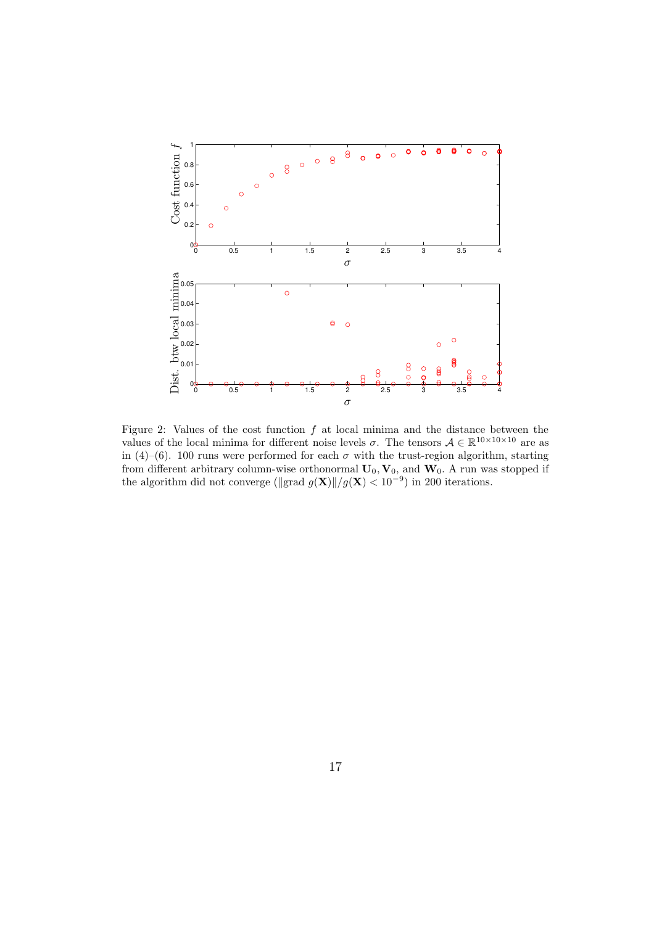

Figure 2: Values of the cost function  $f$  at local minima and the distance between the values of the local minima for different noise levels  $\sigma$ . The tensors  $\mathcal{A} \in \mathbb{R}^{10 \times 10 \times 10}$  are as in (4)–(6). 100 runs were performed for each  $\sigma$  with the trust-region algorithm, starting from different arbitrary column-wise orthonormal  $\mathbf{U}_0, \mathbf{V}_0$ , and  $\mathbf{W}_0$ . A run was stopped if the algorithm did not converge ( $\|grad g(\mathbf{X})\|/g(\mathbf{X}) < 10^{-9}$ ) in 200 iterations.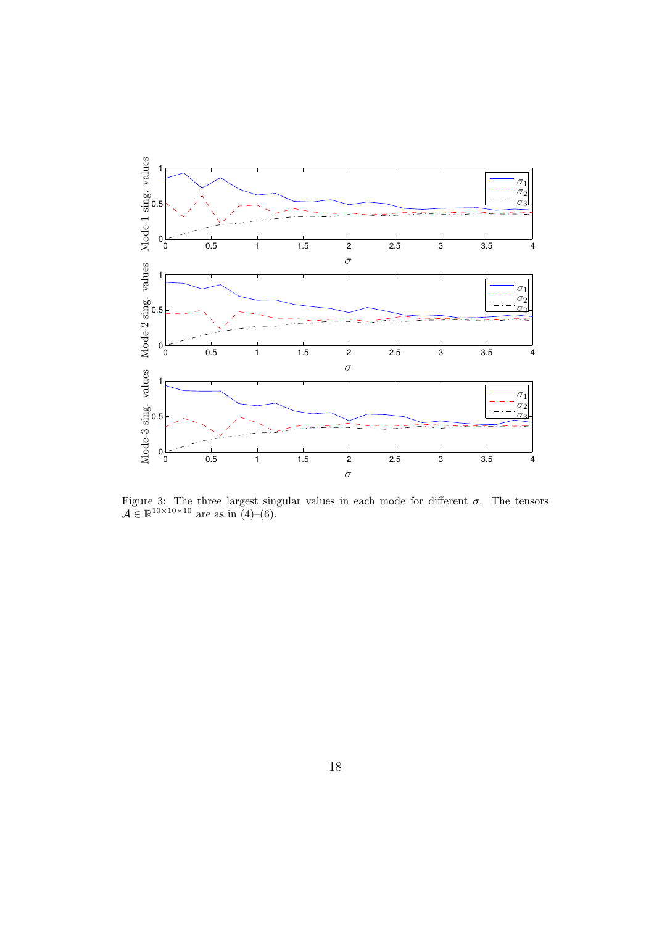

Figure 3: The three largest singular values in each mode for different  $\sigma$ . The tensors  $A \in \mathbb{R}^{10 \times 10 \times 10}$  are as in (4)–(6).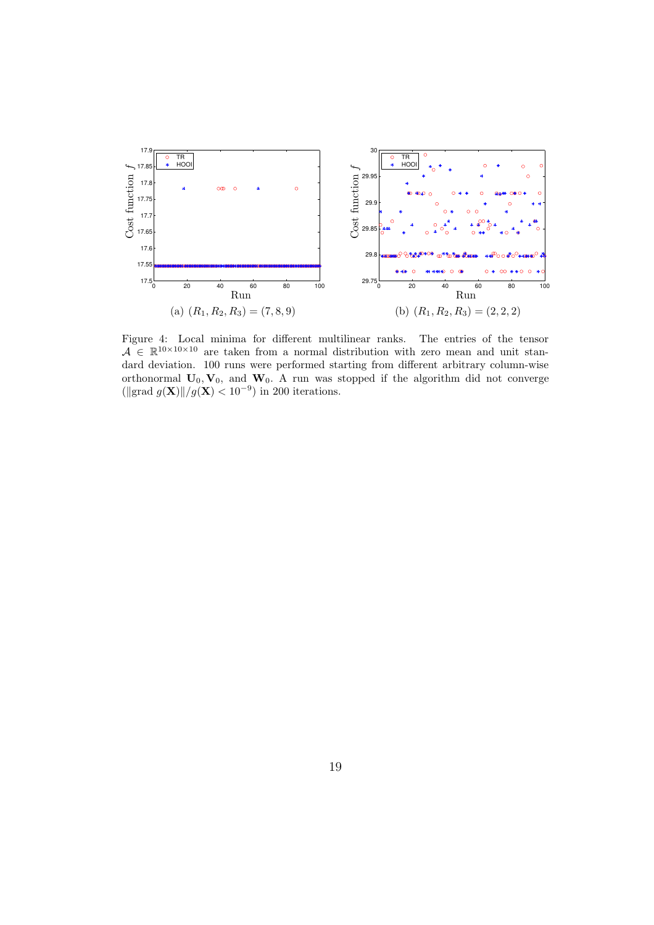

Figure 4: Local minima for different multilinear ranks. The entries of the tensor  $A \in \mathbb{R}^{10 \times 10 \times 10}$  are taken from a normal distribution with zero mean and unit standard deviation. 100 runs were performed starting from different arbitrary column-wise orthonormal  $U_0$ ,  $V_0$ , and  $W_0$ . A run was stopped if the algorithm did not converge ( $\langle \Vert \text{grad } g(\mathbf{X}) \Vert / g(\mathbf{X}) < 10^{-9} \rangle$  in 200 iterations.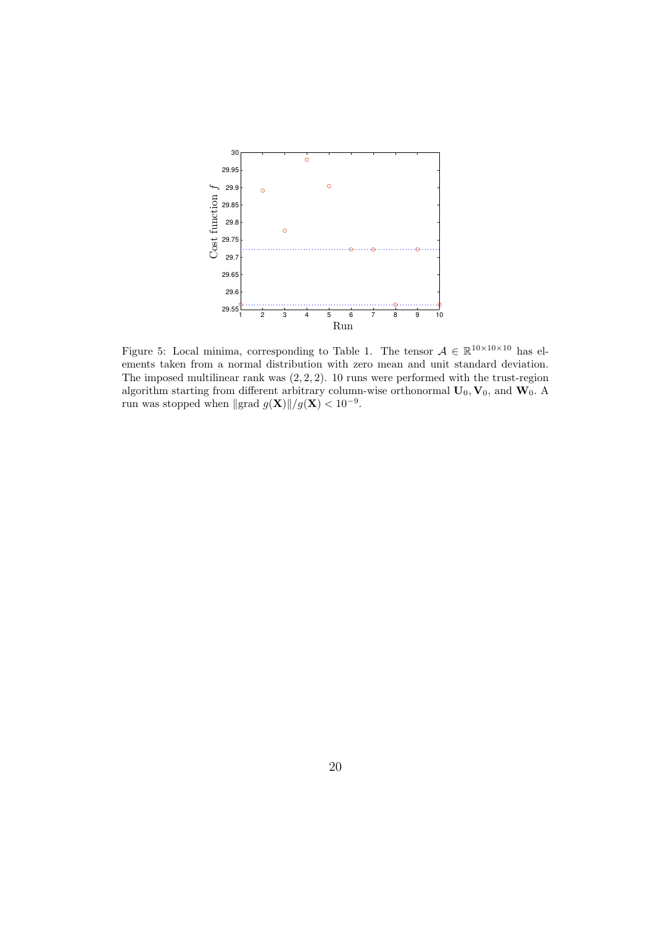

Figure 5: Local minima, corresponding to Table 1. The tensor  $A \in \mathbb{R}^{10 \times 10 \times 10}$  has elements taken from a normal distribution with zero mean and unit standard deviation. The imposed multilinear rank was  $(2, 2, 2)$ . 10 runs were performed with the trust-region algorithm starting from different arbitrary column-wise orthonormal  $\mathbf{U}_0, \mathbf{V}_0$ , and  $\mathbf{W}_0$ . A run was stopped when  $\|\text{grad } g(\mathbf{X})\|/g(\mathbf{X}) < 10^{-9}$ .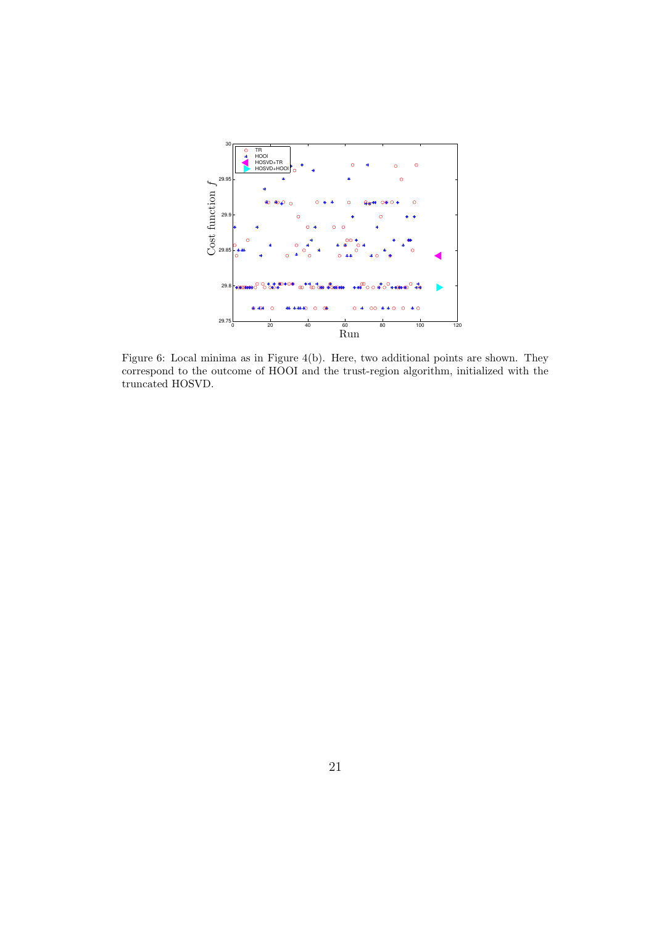

Figure 6: Local minima as in Figure 4(b). Here, two additional points are shown. They correspond to the outcome of HOOI and the trust-region algorithm, initialized with the truncated HOSVD.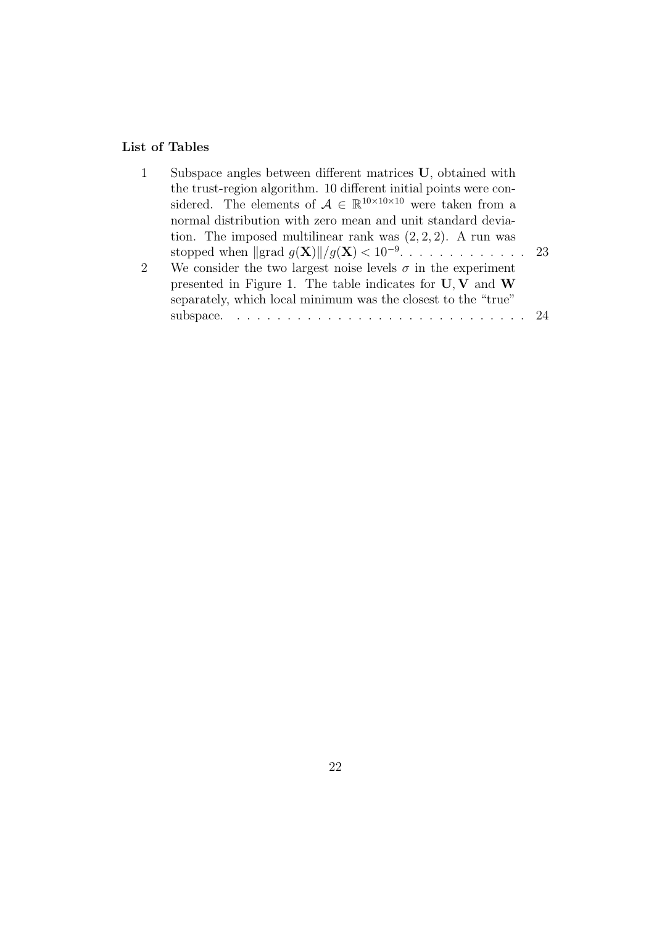# List of Tables

| 1 | Subspace angles between different matrices U, obtained with                            |  |
|---|----------------------------------------------------------------------------------------|--|
|   | the trust-region algorithm. 10 different initial points were con-                      |  |
|   | sidered. The elements of $A \in \mathbb{R}^{10 \times 10 \times 10}$ were taken from a |  |
|   | normal distribution with zero mean and unit standard devia-                            |  |
|   | tion. The imposed multilinear rank was $(2, 2, 2)$ . A run was                         |  |
|   |                                                                                        |  |
| 2 | We consider the two largest noise levels $\sigma$ in the experiment                    |  |
|   | presented in Figure 1. The table indicates for $U, V$ and $W$                          |  |
|   | separately, which local minimum was the closest to the "true"                          |  |
|   |                                                                                        |  |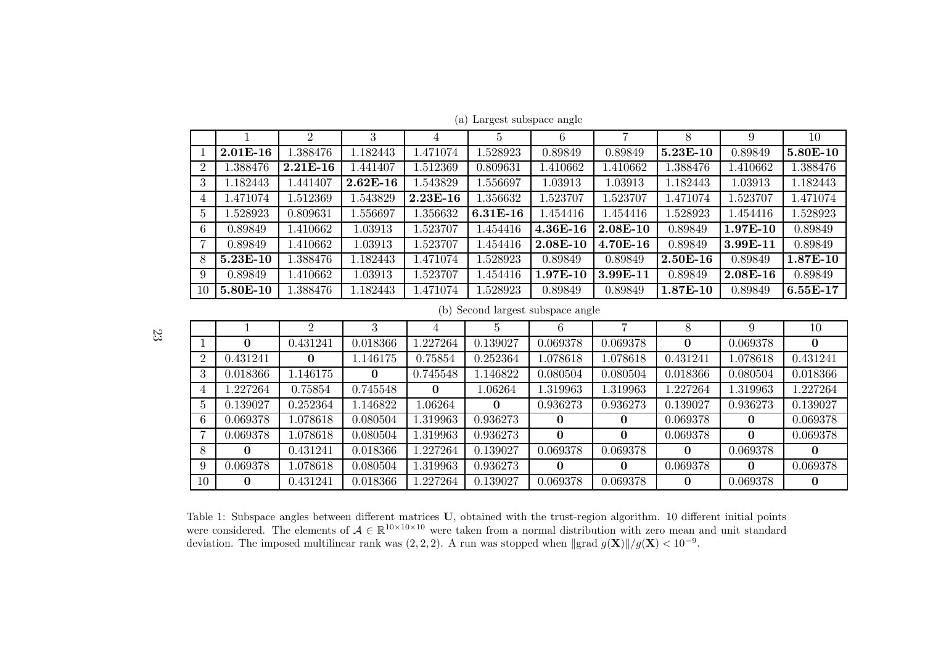|                |            | $\overline{2}$ | $\cdot$    | 4          |            | 6            |            |              | 9          | 10       |
|----------------|------------|----------------|------------|------------|------------|--------------|------------|--------------|------------|----------|
|                | $2.01E-16$ | 1.388476       | 1.182443   | 1.471074   | 1.528923   | 0.89849      | 0.89849    | $5.23E-10$   | 0.89849    | 5.80E-10 |
| $\overline{2}$ | 1.388476   | $2.21E-16$     | 1.441407   | 1.512369   | 0.809631   | 1.410662     | 1.410662   | 1.388476     | 1.410662   | 1.388476 |
| 3              | 1.182443   | 1.441407       | $2.62E-16$ | 1.543829   | 1.556697   | 1.03913      | 1.03913    | 1.182443     | 1.03913    | 1.182443 |
| 4              | .471074    | 1.512369       | 1.543829   | $2.23E-16$ | 1.356632   | 1.523707     | 1.523707   | 1.471074     | 1.523707   | 1.471074 |
| -5             | .528923    | 0.809631       | 1.556697   | 1.356632   | $6.31E-16$ | 1.454416     | 1.454416   | 1.528923     | 1.454416   | 1.528923 |
| 6              | 0.89849    | 1.410662       | 1.03913    | 1.523707   | 1.454416   | $4.36E-16$   | $2.08E-10$ | 0.89849      | $1.97E-10$ | 0.89849  |
|                | 0.89849    | 1.410662       | 1.03913    | 1.523707   | 1.454416   | 2.08E-10     | $4.70E-16$ | 0.89849      | $3.99E-11$ | 0.89849  |
| -8             | $5.23E-10$ | 1.388476       | 1.182443   | 1.471074   | 1.528923   | 0.89849      | 0.89849    | $2.50E-16$   | 0.89849    | 1.87E-10 |
| 9              | 0.89849    | 1.410662       | 1.03913    | 1.523707   | 1.454416   | $1.97E - 10$ | $3.99E-11$ | 0.89849      | $2.08E-16$ | 0.89849  |
| 10             | $5.80E-10$ | 1.388476       | 1.182443   | 1.471074   | 1.528923   | 0.89849      | 0.89849    | $1.87E - 10$ | 0.89849    | 6.55E-17 |

(a) Largest subspace angle

(b) Second largest subspace angle

23

|              |          |          |              |          |          |          |          |          |              | 10           |
|--------------|----------|----------|--------------|----------|----------|----------|----------|----------|--------------|--------------|
|              | 0        | 0.431241 | 0.018366     | .227264  | 0.139027 | 0.069378 | 0.069378 | 0        | 0.069378     |              |
| റ            | 0.431241 | 0        | 1.146175     | 0.75854  | 0.252364 | 1.078618 | 1.078618 | 0.431241 | 1.078618     | 0.431241     |
| 3            | 0.018366 | l.146175 | $\mathbf{0}$ | 0.745548 | 1.146822 | 0.080504 | 0.080504 | 0.018366 | 0.080504     | 0.018366     |
| 4            | .227264  | 0.75854  | 0.745548     | $\bf{0}$ | 1.06264  | 1.319963 | 1.319963 | 1.227264 | 1.319963     | 1.227264     |
| <sub>5</sub> | 0.139027 | 0.252364 | 1.146822     | l.06264  | $\bf{0}$ | 0.936273 | 0.936273 | 0.139027 | 0.936273     | 0.139027     |
| <sub>6</sub> | 0.069378 | .078618  | 0.080504     | 1.319963 | 0.936273 | o        | 0        | 0.069378 | U            | 0.069378     |
|              | 0.069378 | .078618  | 0.080504     | 1.319963 | 0.936273 | $\Omega$ | 0        | 0.069378 | $\mathbf{0}$ | 0.069378     |
| 8            | 0        | 0.431241 | 0.018366     | 1.227264 | 0.139027 | 0.069378 | 0.069378 | $\Omega$ | 0.069378     | $\mathbf{0}$ |
| -9           | 0.069378 | l.078618 | 0.080504     | 1.319963 | 0.936273 | 0        | 0        | 0.069378 | $\mathbf{0}$ | 0.069378     |
| 10           | 0        | 0.431241 | 0.018366     | l.227264 | 0.139027 | 0.069378 | 0.069378 | 0        | 0.069378     | 0            |

Table 1: Subspace angles between different matrices U, obtained with the trust-region algorithm. 10 different initial points were considered. The elements of  $A \in \mathbb{R}^{10 \times 10 \times 10}$  were taken from a normal distribution with zero mean and unit standard deviation. The imposed multilinear rank was  $(2, 2, 2)$ . A run was stopped when  $\Vert \text{grad } g(\mathbf{X}) \Vert / g(\mathbf{X}) < 10^{-9}$ .